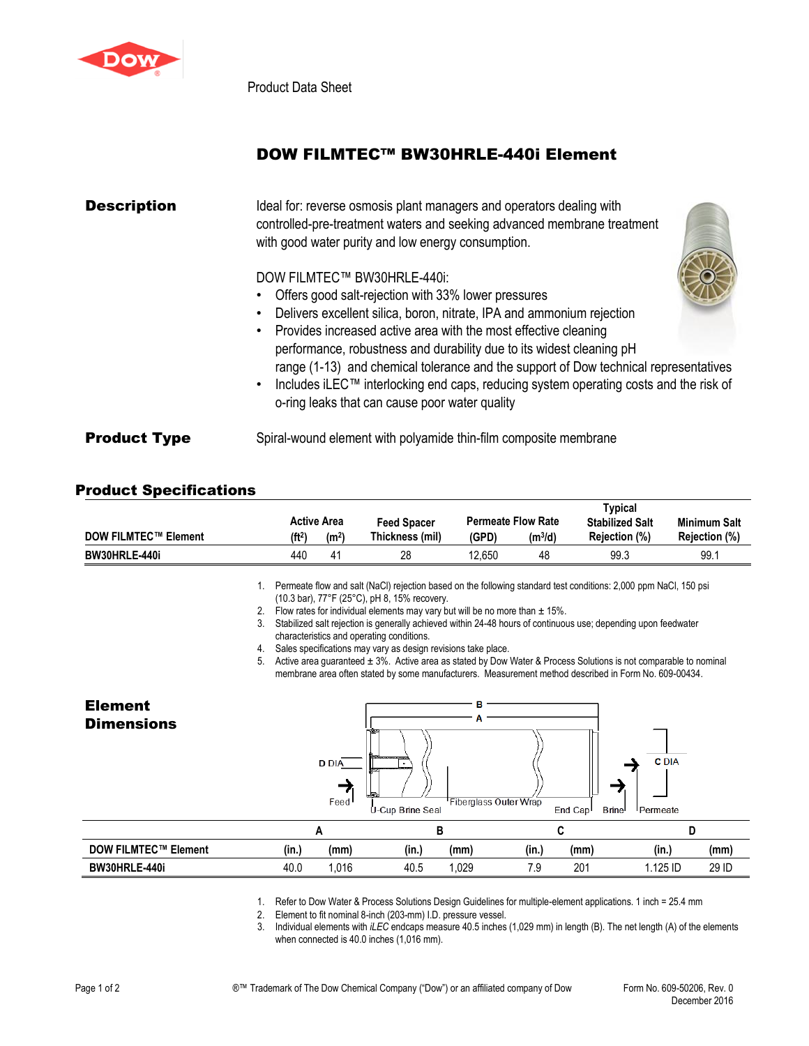

Product Data Sheet

## DOW FILMTEC™ BW30HRLE-440i Element

| <b>Description</b>  | Ideal for: reverse osmosis plant managers and operators dealing with<br>controlled-pre-treatment waters and seeking advanced membrane treatment<br>with good water purity and low energy consumption. |  |  |  |  |  |  |  |
|---------------------|-------------------------------------------------------------------------------------------------------------------------------------------------------------------------------------------------------|--|--|--|--|--|--|--|
|                     | DOW FILMTEC™ BW30HRLE-440i:                                                                                                                                                                           |  |  |  |  |  |  |  |
|                     | Offers good salt-rejection with 33% lower pressures                                                                                                                                                   |  |  |  |  |  |  |  |
|                     | Delivers excellent silica, boron, nitrate, IPA and ammonium rejection                                                                                                                                 |  |  |  |  |  |  |  |
|                     | Provides increased active area with the most effective cleaning                                                                                                                                       |  |  |  |  |  |  |  |
|                     | performance, robustness and durability due to its widest cleaning pH                                                                                                                                  |  |  |  |  |  |  |  |
|                     | range (1-13) and chemical tolerance and the support of Dow technical representatives                                                                                                                  |  |  |  |  |  |  |  |
|                     | Includes iLEC™ interlocking end caps, reducing system operating costs and the risk of<br>o-ring leaks that can cause poor water quality                                                               |  |  |  |  |  |  |  |
| <b>Product Type</b> | Spiral-wound element with polyamide thin-film composite membrane                                                                                                                                      |  |  |  |  |  |  |  |

## Product Specifications

|                             |                    |                                                                |                 | Typical                |                     |               |               |
|-----------------------------|--------------------|----------------------------------------------------------------|-----------------|------------------------|---------------------|---------------|---------------|
|                             |                    | <b>Permeate Flow Rate</b><br><b>Active Area</b><br>Feed Spacer |                 | <b>Stabilized Salt</b> | <b>Minimum Salt</b> |               |               |
| <b>DOW FILMTEC™ Element</b> | (ft <sup>2</sup> ) | (m <sup>2</sup> )                                              | Thickness (mil) | (GPD)                  | (m <sup>3</sup> /d) | Rejection (%) | Rejection (%) |
| BW30HRLE-440i               | 440                | 41                                                             | 28              | 12.650                 | 48                  | 99.3          | 99.1          |

1. Permeate flow and salt (NaCl) rejection based on the following standard test conditions: 2,000 ppm NaCl, 150 psi (10.3 bar), 77°F (25°C), pH 8, 15% recovery.

2. Flow rates for individual elements may vary but will be no more than  $\pm$  15%.

3. Stabilized salt rejection is generally achieved within 24-48 hours of continuous use; depending upon feedwater characteristics and operating conditions.

4. Sales specifications may vary as design revisions take place.

5. Active area guaranteed  $\pm 3$ %. Active area as stated by Dow Water & Process Solutions is not comparable to nominal membrane area often stated by some manufacturers. Measurement method described in Form No. 609-00434.

| <b>Element</b><br><b>Dimensions</b> |       | <b>D</b> DIA<br>Feed | - 19<br>-------<br>はあ<br>⊲طا<br>U-Cup Brine Seal | в     | Fiberglass Outer Wrap<br>End Cap <sup>1</sup> | <b>C</b> DIA<br><b>Brine</b><br>Permeate |       |
|-------------------------------------|-------|----------------------|--------------------------------------------------|-------|-----------------------------------------------|------------------------------------------|-------|
|                                     |       | A                    | в                                                |       |                                               |                                          |       |
| <b>DOW FILMTEC™ Element</b>         | (in.) | (mm)                 | (in.)                                            | (mm)  | (in.)<br>(mm)                                 | (in.)                                    | (mm)  |
| BW30HRLE-440i                       | 40.0  | 1,016                | 40.5                                             | 1,029 | 201<br>7.9                                    | 1.125 ID                                 | 29 ID |

1. Refer to Dow Water & Process Solutions Design Guidelines for multiple-element applications. 1 inch = 25.4 mm

2. Element to fit nominal 8-inch (203-mm) I.D. pressure vessel.

3. Individual elements with *iLEC* endcaps measure 40.5 inches (1,029 mm) in length (B). The net length (A) of the elements when connected is 40.0 inches (1,016 mm).